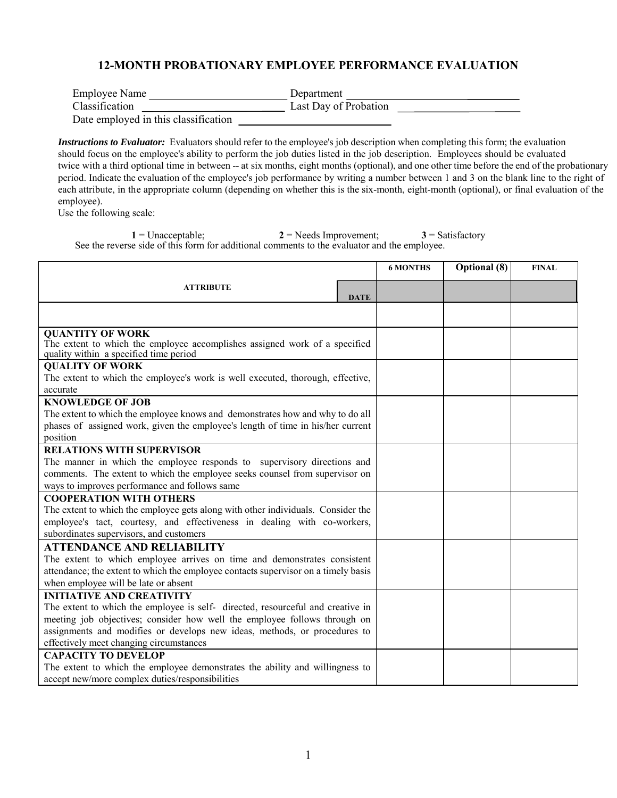## **12-MONTH PROBATIONARY EMPLOYEE PERFORMANCE EVALUATION**

| Employee Name                  | Department            |
|--------------------------------|-----------------------|
| Classification                 | Last Day of Probation |
| Deta applaud in this alocation |                       |

Date employed in this classification

*Instructions to Evaluator:* Evaluators should refer to the employee's job description when completing this form; the evaluation should focus on the employee's ability to perform the job duties listed in the job description. Employees should be evaluated twice with a third optional time in between -- at six months, eight months (optional), and one other time before the end of the probationary period. Indicate the evaluation of the employee's job performance by writing a number between 1 and 3 on the blank line to the right of each attribute, in the appropriate column (depending on whether this is the six-month, eight-month (optional), or final evaluation of the employee).

Use the following scale:

1 = Unacceptable; **2** = Needs Improvement; **3** = Satisfactory See the reverse side of this form for additional comments to the evaluator and the employee.

|                                                                                    |             | <b>6 MONTHS</b> | <b>Optional</b> (8) | <b>FINAL</b> |
|------------------------------------------------------------------------------------|-------------|-----------------|---------------------|--------------|
|                                                                                    |             |                 |                     |              |
| <b>ATTRIBUTE</b>                                                                   | <b>DATE</b> |                 |                     |              |
|                                                                                    |             |                 |                     |              |
| <b>QUANTITY OF WORK</b>                                                            |             |                 |                     |              |
| The extent to which the employee accomplishes assigned work of a specified         |             |                 |                     |              |
| quality within a specified time period                                             |             |                 |                     |              |
| <b>QUALITY OF WORK</b>                                                             |             |                 |                     |              |
| The extent to which the employee's work is well executed, thorough, effective,     |             |                 |                     |              |
| accurate                                                                           |             |                 |                     |              |
| <b>KNOWLEDGE OF JOB</b>                                                            |             |                 |                     |              |
| The extent to which the employee knows and demonstrates how and why to do all      |             |                 |                     |              |
| phases of assigned work, given the employee's length of time in his/her current    |             |                 |                     |              |
| position                                                                           |             |                 |                     |              |
| <b>RELATIONS WITH SUPERVISOR</b>                                                   |             |                 |                     |              |
| The manner in which the employee responds to supervisory directions and            |             |                 |                     |              |
| comments. The extent to which the employee seeks counsel from supervisor on        |             |                 |                     |              |
| ways to improves performance and follows same                                      |             |                 |                     |              |
| <b>COOPERATION WITH OTHERS</b>                                                     |             |                 |                     |              |
| The extent to which the employee gets along with other individuals. Consider the   |             |                 |                     |              |
| employee's tact, courtesy, and effectiveness in dealing with co-workers,           |             |                 |                     |              |
| subordinates supervisors, and customers                                            |             |                 |                     |              |
| <b>ATTENDANCE AND RELIABILITY</b>                                                  |             |                 |                     |              |
| The extent to which employee arrives on time and demonstrates consistent           |             |                 |                     |              |
| attendance; the extent to which the employee contacts supervisor on a timely basis |             |                 |                     |              |
| when employee will be late or absent                                               |             |                 |                     |              |
| <b>INITIATIVE AND CREATIVITY</b>                                                   |             |                 |                     |              |
| The extent to which the employee is self- directed, resourceful and creative in    |             |                 |                     |              |
| meeting job objectives; consider how well the employee follows through on          |             |                 |                     |              |
| assignments and modifies or develops new ideas, methods, or procedures to          |             |                 |                     |              |
| effectively meet changing circumstances                                            |             |                 |                     |              |
| <b>CAPACITY TO DEVELOP</b>                                                         |             |                 |                     |              |
| The extent to which the employee demonstrates the ability and willingness to       |             |                 |                     |              |
| accept new/more complex duties/responsibilities                                    |             |                 |                     |              |